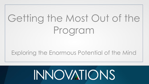# Getting the Most Out of the Program

#### Exploring the Enormous Potential of the Mind

# **INNOVATIONS**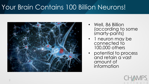# Your Brain Contains 100 Billion Neurons!



- Well, 86 Billion (according to some smarty-pants)
- 1 neuron may be connected to 100,000 others
- potential to process and retain a vast amount of information

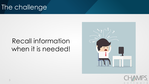### The challenge

## Recall information when it is needed!



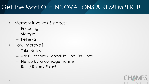#### Get the Most Out INNOVATIONS & REMEMBER it!

- Memory involves 3 stages:
	- Encoding
	- Storage
	- Retrieval
- How improve?
	- Take Notes
	- Ask Questions / Schedule One-On-Ones!
	- Network / Knowledge Transfer
	- Rest / Relax / Enjoy!

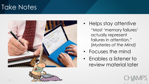#### Take Notes



- Helps stay attentive "Most 'memory failures' actually represent failures in attention." (*Mysteries of the Mind)*
- Focuses the mind
- Enables a listener to review material later

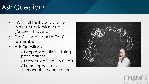# Ask Questions

- "With all that you acquire, acquire understanding." (Ancient Proverb)
- Don't understand = Don't remember
- Ask Questions
	- At appropriate times during presentations
	- At scheduled One-On-One's
	- At other opportunities throughout the conference



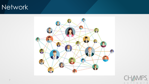#### Network



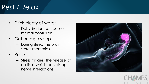# Rest / Relax

- Drink plenty of water
	- Dehydration can cause mental confusion
- Get enough sleep
	- During sleep the brain stores memories
- Relax
	- Stress triggers the release of cortisol, which can disrupt nerve interactions